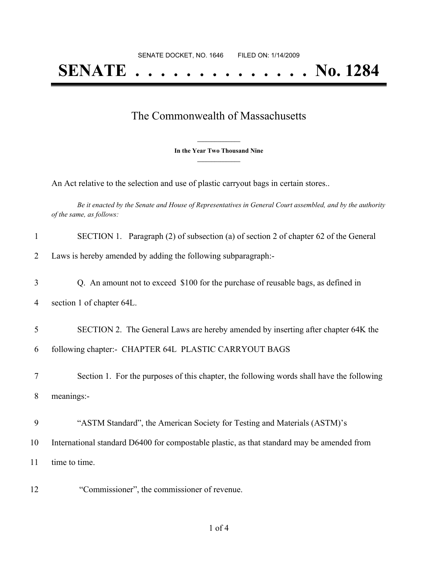## **SENATE . . . . . . . . . . . . . . No. 1284**

## The Commonwealth of Massachusetts

**\_\_\_\_\_\_\_\_\_\_\_\_\_\_\_ In the Year Two Thousand Nine \_\_\_\_\_\_\_\_\_\_\_\_\_\_\_**

An Act relative to the selection and use of plastic carryout bags in certain stores..

Be it enacted by the Senate and House of Representatives in General Court assembled, and by the authority *of the same, as follows:*

| $\mathbf{1}$   | SECTION 1. Paragraph (2) of subsection (a) of section 2 of chapter 62 of the General       |
|----------------|--------------------------------------------------------------------------------------------|
| $\overline{2}$ | Laws is hereby amended by adding the following subparagraph:-                              |
| 3              | Q. An amount not to exceed \$100 for the purchase of reusable bags, as defined in          |
| 4              | section 1 of chapter 64L.                                                                  |
| 5              | SECTION 2. The General Laws are hereby amended by inserting after chapter 64K the          |
| 6              | following chapter:- CHAPTER 64L PLASTIC CARRYOUT BAGS                                      |
| 7              | Section 1. For the purposes of this chapter, the following words shall have the following  |
| 8              | meanings:-                                                                                 |
| 9              | "ASTM Standard", the American Society for Testing and Materials (ASTM)'s                   |
| 10             | International standard D6400 for compostable plastic, as that standard may be amended from |
| 11             | time to time.                                                                              |
| 12             | "Commissioner", the commissioner of revenue.                                               |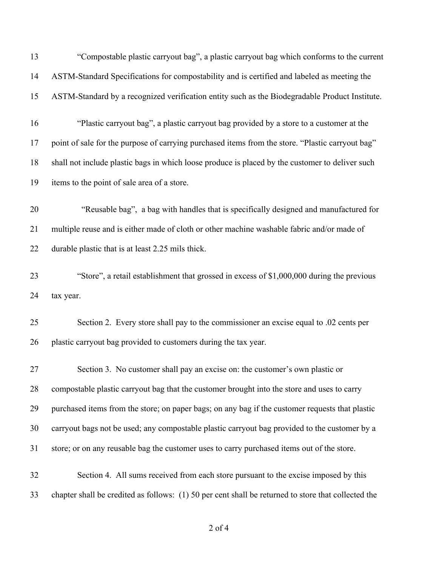| 13 | "Compostable plastic carryout bag", a plastic carryout bag which conforms to the current            |
|----|-----------------------------------------------------------------------------------------------------|
| 14 | ASTM-Standard Specifications for compostability and is certified and labeled as meeting the         |
| 15 | ASTM-Standard by a recognized verification entity such as the Biodegradable Product Institute.      |
| 16 | "Plastic carryout bag", a plastic carryout bag provided by a store to a customer at the             |
| 17 | point of sale for the purpose of carrying purchased items from the store. "Plastic carryout bag"    |
| 18 | shall not include plastic bags in which loose produce is placed by the customer to deliver such     |
| 19 | items to the point of sale area of a store.                                                         |
| 20 | "Reusable bag", a bag with handles that is specifically designed and manufactured for               |
| 21 | multiple reuse and is either made of cloth or other machine washable fabric and/or made of          |
| 22 | durable plastic that is at least 2.25 mils thick.                                                   |
| 23 | "Store", a retail establishment that grossed in excess of \$1,000,000 during the previous           |
| 24 | tax year.                                                                                           |
| 25 | Section 2. Every store shall pay to the commissioner an excise equal to .02 cents per               |
| 26 | plastic carryout bag provided to customers during the tax year.                                     |
| 27 | Section 3. No customer shall pay an excise on: the customer's own plastic or                        |
| 28 | compostable plastic carryout bag that the customer brought into the store and uses to carry         |
| 29 | purchased items from the store; on paper bags; on any bag if the customer requests that plastic     |
| 30 | carryout bags not be used; any compostable plastic carryout bag provided to the customer by a       |
| 31 | store; or on any reusable bag the customer uses to carry purchased items out of the store.          |
| 32 | Section 4. All sums received from each store pursuant to the excise imposed by this                 |
| 33 | chapter shall be credited as follows: (1) 50 per cent shall be returned to store that collected the |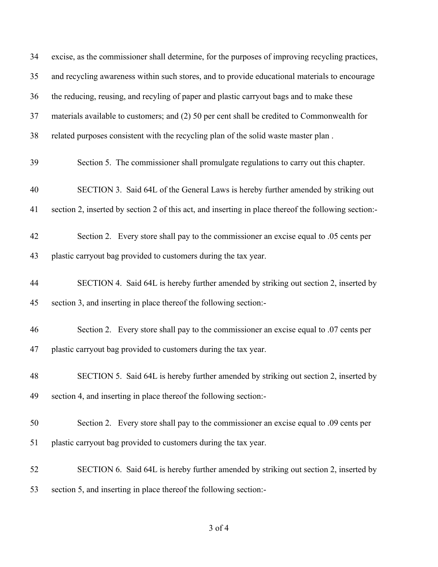| 34 | excise, as the commissioner shall determine, for the purposes of improving recycling practices,      |
|----|------------------------------------------------------------------------------------------------------|
| 35 | and recycling awareness within such stores, and to provide educational materials to encourage        |
| 36 | the reducing, reusing, and recyling of paper and plastic carryout bags and to make these             |
| 37 | materials available to customers; and (2) 50 per cent shall be credited to Commonwealth for          |
| 38 | related purposes consistent with the recycling plan of the solid waste master plan.                  |
| 39 | Section 5. The commissioner shall promulgate regulations to carry out this chapter.                  |
| 40 | SECTION 3. Said 64L of the General Laws is hereby further amended by striking out                    |
| 41 | section 2, inserted by section 2 of this act, and inserting in place thereof the following section:- |
| 42 | Section 2. Every store shall pay to the commissioner an excise equal to .05 cents per                |
| 43 | plastic carryout bag provided to customers during the tax year.                                      |
| 44 | SECTION 4. Said 64L is hereby further amended by striking out section 2, inserted by                 |
| 45 | section 3, and inserting in place thereof the following section:-                                    |
| 46 | Section 2. Every store shall pay to the commissioner an excise equal to .07 cents per                |
| 47 | plastic carryout bag provided to customers during the tax year.                                      |
| 48 | SECTION 5. Said 64L is hereby further amended by striking out section 2, inserted by                 |
| 49 | section 4, and inserting in place thereof the following section:-                                    |
| 50 | Section 2. Every store shall pay to the commissioner an excise equal to .09 cents per                |
| 51 | plastic carryout bag provided to customers during the tax year.                                      |
| 52 | SECTION 6. Said 64L is hereby further amended by striking out section 2, inserted by                 |
| 53 | section 5, and inserting in place thereof the following section:-                                    |

of 4